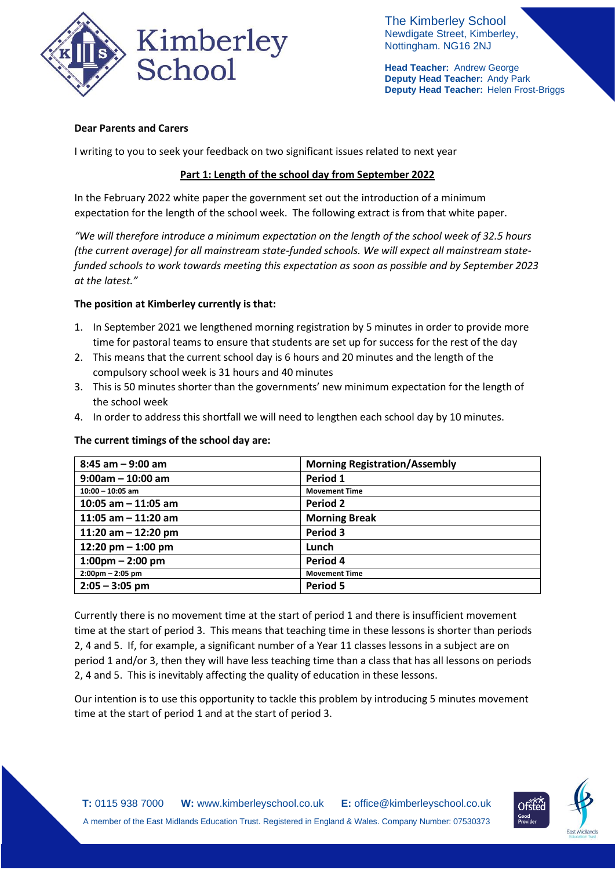

The Kimberley School Newdigate Street, Kimberley, Nottingham. NG16 2NJ

**Head Teacher:** Andrew George **Deputy Head Teacher:** Andy Park **Deputy Head Teacher:** Helen Frost-Briggs

## **Dear Parents and Carers**

I writing to you to seek your feedback on two significant issues related to next year

# **Part 1: Length of the school day from September 2022**

In the February 2022 white paper the government set out the introduction of a minimum expectation for the length of the school week. The following extract is from that white paper.

*"We will therefore introduce a minimum expectation on the length of the school week of 32.5 hours (the current average) for all mainstream state-funded schools. We will expect all mainstream statefunded schools to work towards meeting this expectation as soon as possible and by September 2023 at the latest."*

## **The position at Kimberley currently is that:**

- 1. In September 2021 we lengthened morning registration by 5 minutes in order to provide more time for pastoral teams to ensure that students are set up for success for the rest of the day
- 2. This means that the current school day is 6 hours and 20 minutes and the length of the compulsory school week is 31 hours and 40 minutes
- 3. This is 50 minutes shorter than the governments' new minimum expectation for the length of the school week
- 4. In order to address this shortfall we will need to lengthen each school day by 10 minutes.

#### **The current timings of the school day are:**

| $8:45$ am $-9:00$ am              | <b>Morning Registration/Assembly</b> |
|-----------------------------------|--------------------------------------|
| $9:00am - 10:00am$                | Period 1                             |
| $10:00 - 10:05$ am                | <b>Movement Time</b>                 |
| 10:05 am $-$ 11:05 am             | Period 2                             |
| 11:05 am $-$ 11:20 am             | <b>Morning Break</b>                 |
| 11:20 am $-$ 12:20 pm             | Period 3                             |
| 12:20 pm $-$ 1:00 pm              | Lunch                                |
| $1:00 \text{pm} - 2:00 \text{pm}$ | Period 4                             |
| $2:00 \text{pm} - 2:05 \text{pm}$ | <b>Movement Time</b>                 |
| $2:05 - 3:05$ pm                  | Period 5                             |

Currently there is no movement time at the start of period 1 and there is insufficient movement time at the start of period 3. This means that teaching time in these lessons is shorter than periods 2, 4 and 5. If, for example, a significant number of a Year 11 classes lessons in a subject are on period 1 and/or 3, then they will have less teaching time than a class that has all lessons on periods 2, 4 and 5. This is inevitably affecting the quality of education in these lessons.

Our intention is to use this opportunity to tackle this problem by introducing 5 minutes movement time at the start of period 1 and at the start of period 3.

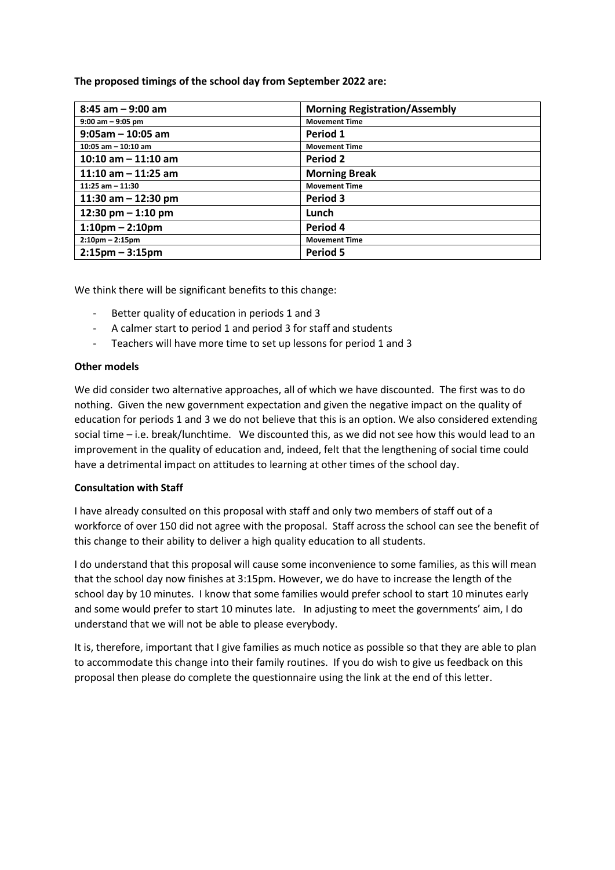**The proposed timings of the school day from September 2022 are:**

| $8:45$ am $-9:00$ am              | <b>Morning Registration/Assembly</b> |
|-----------------------------------|--------------------------------------|
| $9:00$ am $-9:05$ pm              | <b>Movement Time</b>                 |
| $9:05am - 10:05 am$               | Period 1                             |
| $10:05$ am $-10:10$ am            | <b>Movement Time</b>                 |
| 10:10 am $-$ 11:10 am             | <b>Period 2</b>                      |
| 11:10 am $-$ 11:25 am             | <b>Morning Break</b>                 |
| $11:25$ am $-11:30$               | <b>Movement Time</b>                 |
| 11:30 am $-$ 12:30 pm             | Period 3                             |
| 12:30 pm $-$ 1:10 pm              | Lunch                                |
| $1:10$ pm – 2:10pm                | Period 4                             |
| $2:10$ pm – 2:15pm                | <b>Movement Time</b>                 |
| $2:15 \text{pm} - 3:15 \text{pm}$ | Period 5                             |

We think there will be significant benefits to this change:

- Better quality of education in periods 1 and 3
- A calmer start to period 1 and period 3 for staff and students
- Teachers will have more time to set up lessons for period 1 and 3

## **Other models**

We did consider two alternative approaches, all of which we have discounted. The first was to do nothing. Given the new government expectation and given the negative impact on the quality of education for periods 1 and 3 we do not believe that this is an option. We also considered extending social time – i.e. break/lunchtime. We discounted this, as we did not see how this would lead to an improvement in the quality of education and, indeed, felt that the lengthening of social time could have a detrimental impact on attitudes to learning at other times of the school day.

#### **Consultation with Staff**

I have already consulted on this proposal with staff and only two members of staff out of a workforce of over 150 did not agree with the proposal. Staff across the school can see the benefit of this change to their ability to deliver a high quality education to all students.

I do understand that this proposal will cause some inconvenience to some families, as this will mean that the school day now finishes at 3:15pm. However, we do have to increase the length of the school day by 10 minutes. I know that some families would prefer school to start 10 minutes early and some would prefer to start 10 minutes late. In adjusting to meet the governments' aim, I do understand that we will not be able to please everybody.

It is, therefore, important that I give families as much notice as possible so that they are able to plan to accommodate this change into their family routines. If you do wish to give us feedback on this proposal then please do complete the questionnaire using the link at the end of this letter.